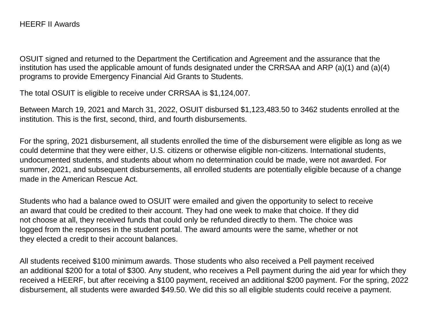OSUIT signed and returned to the Department the Certification and Agreement and the assurance that the institution has used the applicable amount of funds designated under the CRRSAA and ARP (a)(1) and (a)(4) programs to provide Emergency Financial Aid Grants to Students.

The total OSUIT is eligible to receive under CRRSAA is \$1,124,007.

Between March 19, 2021 and March 31, 2022, OSUIT disbursed \$1,123,483.50 to 3462 students enrolled at the institution. This is the first, second, third, and fourth disbursements.

For the spring, 2021 disbursement, all students enrolled the time of the disbursement were eligible as long as we could determine that they were either, U.S. citizens or otherwise eligible non-citizens. International students, undocumented students, and students about whom no determination could be made, were not awarded. For summer, 2021, and subsequent disbursements, all enrolled students are potentially eligible because of a change made in the American Rescue Act.

Students who had a balance owed to OSUIT were emailed and given the opportunity to select to receive an award that could be credited to their account. They had one week to make that choice. If they did not choose at all, they received funds that could only be refunded directly to them. The choice was logged from the responses in the student portal. The award amounts were the same, whether or not they elected a credit to their account balances.

All students received \$100 minimum awards. Those students who also received a Pell payment received an additional \$200 for a total of \$300. Any student, who receives a Pell payment during the aid year for which they received a HEERF, but after receiving a \$100 payment, received an additional \$200 payment. For the spring, 2022 disbursement, all students were awarded \$49.50. We did this so all eligible students could receive a payment.